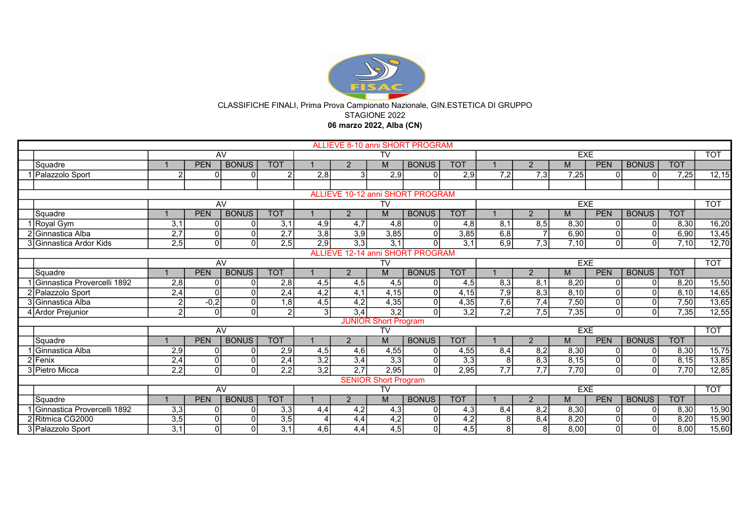

CLASSIFICHE FINALI, Prima Prova Campionato Nazionale, GIN.ESTETICA DI GRUPPO

STAGIONE 2022

06 marzo 2022, Alba (CN)

|                                         | ALLIEVE 8-10 anni SHORT PROGRAM<br><b>TOT</b> |                  |            |                |                  |                  |                  |                             |              |                  |            |                |      |              |              |            |       |  |
|-----------------------------------------|-----------------------------------------------|------------------|------------|----------------|------------------|------------------|------------------|-----------------------------|--------------|------------------|------------|----------------|------|--------------|--------------|------------|-------|--|
|                                         |                                               | AV               |            |                |                  | TV               |                  |                             |              |                  | <b>EXE</b> |                |      |              |              |            |       |  |
|                                         | Squadre                                       |                  | <b>PEN</b> | <b>BONUS</b>   | <b>TOT</b>       |                  | 2                | M                           | <b>BONUS</b> | <b>TOT</b>       |            | $\overline{2}$ | M    | <b>PEN</b>   | <b>BONUS</b> | <b>TOT</b> |       |  |
|                                         | Palazzolo Sport                               | $\overline{2}$   |            | $\Omega$       | 2                | $\overline{2,8}$ | $\mathcal{E}$    | 2,9                         | $\Omega$     | 2,9              | 7,2        | 7,3            | 7,25 | <sup>n</sup> | ΩI           | 7,25       | 12,15 |  |
|                                         |                                               |                  |            |                |                  |                  |                  |                             |              |                  |            |                |      |              |              |            |       |  |
| ALLIEVE 10-12 anni SHORT PROGRAM        |                                               |                  |            |                |                  |                  |                  |                             |              |                  |            |                |      |              |              |            |       |  |
|                                         |                                               |                  |            | AV             |                  |                  |                  | <b>TV</b>                   |              |                  | <b>EXE</b> |                |      |              |              |            |       |  |
|                                         | Squadre                                       |                  | <b>PEN</b> | <b>BONUS</b>   | <b>TOT</b>       |                  | $\mathcal{P}$    | $\overline{M}$              | <b>BONUS</b> | <b>TOT</b>       |            | $\overline{2}$ | M    | <b>PEN</b>   | <b>BONUS</b> | <b>TOT</b> |       |  |
|                                         | Royal Gym                                     | $\overline{3,1}$ |            | $\Omega$       | 3,1              | 4,9              | 4,7              | 4.8                         |              | 4,8              | 8,1        | 8.5            | 8.30 |              | ΩI           | 8.30       | 16,20 |  |
|                                         | 2 Ginnastica Alba                             | 2,7              |            | $\vert$ 0      | 2,7              | 3,8              | $\overline{3,9}$ | 3,85                        |              | 3,85             | 6,8        |                | 6,90 | U            | Οl           | 6,90       | 13,45 |  |
|                                         | 3 Ginnastica Ardor Kids                       | $\overline{2,5}$ | $\Omega$   | $\Omega$       | 2,5              | 2,9              | 3,3              | 3,1                         |              | 3,1              | 6,9        | 7,3            | 7,10 | ΩI           | ΩI           | 7,10       | 12,70 |  |
| <b>ALLIEVE 12-14 anni SHORT PROGRAM</b> |                                               |                  |            |                |                  |                  |                  |                             |              |                  |            |                |      |              |              |            |       |  |
|                                         |                                               |                  |            | AV             |                  |                  |                  | <b>TV</b>                   |              |                  | <b>EXE</b> |                |      |              |              |            |       |  |
|                                         | Squadre                                       |                  | <b>PEN</b> | <b>BONUS</b>   | <b>TOT</b>       |                  | $\mathcal{P}$    | M                           | <b>BONUS</b> | <b>TOT</b>       |            | $\mathcal{P}$  | M    | <b>PEN</b>   | <b>BONUS</b> | <b>TOT</b> |       |  |
|                                         | Ginnastica Provercelli 1892                   | 2,8              |            | $\mathbf{0}$   | 2,8              | 4,5              | 4,5              | 4,5                         |              | 4,5              | 8,3        | 8,1            | 8,20 |              | ΩI           | 8,20       | 15,50 |  |
|                                         | 2 Palazzolo Sport                             | 2,4              |            | $\vert$ 0      | 2,4              | $\overline{4,2}$ | $\overline{4,1}$ | 4,15                        |              | 4,15             | 7,9        | 8,3            | 8,10 | 0            | ΩI           | 8,10       | 14,65 |  |
|                                         | 3 Ginnastica Alba                             | $\overline{2}$   | $-0,2$     | $\Omega$       | 1,8              | 4,5              | 4,2              | 4,35                        |              | 4,35             | 7,6        | 7,4            | 7,50 |              | Οl           | 7,50       | 13,65 |  |
|                                         | 4 Ardor Prejunior                             | 2 <sup>1</sup>   | $\Omega$   | $\Omega$       | $\overline{2}$   | $\overline{3}$   | 3,4              | $\overline{3,2}$            |              | $\overline{3,2}$ | 7.2        | 7,5            | 7,35 | $\Omega$     | ΩI           | 7,35       | 12,55 |  |
| <b>JUNIOR Short Program</b>             |                                               |                  |            |                |                  |                  |                  |                             |              |                  |            |                |      | <b>TOT</b>   |              |            |       |  |
|                                         |                                               |                  |            | AV             |                  |                  |                  | <b>TV</b>                   |              |                  | <b>EXE</b> |                |      |              |              |            |       |  |
|                                         | Squadre                                       |                  | <b>PEN</b> | <b>BONUS</b>   | <b>TOT</b>       |                  | 2                | $\overline{M}$              | <b>BONUS</b> | <b>TOT</b>       |            | $\overline{2}$ | M    | <b>PEN</b>   | <b>BONUS</b> | <b>TOT</b> |       |  |
|                                         | lGinnastica Alba                              | 2,9              |            | $\mathbf{0}$   | 2,9              | 4,5              | 4,6              | 4,55                        |              | 4,55             | 8,4        | 8,2            | 8,30 |              | ΩI           | 8,30       | 15,75 |  |
|                                         | $2$ Fenix                                     | 2,4              |            | $\overline{0}$ | 2,4              | 3,2              | 3,4              | 3,3                         |              | $\overline{3,3}$ | 8          | 8,3            | 8,15 |              | 01           | 8,15       | 13,85 |  |
|                                         | 3 Pietro Micca                                | 2,2              | $\Omega$   | $\Omega$       | $\overline{2,2}$ | $\overline{3,2}$ | 2,7              | 2,95                        | ΩI           | 2,95             | 7,7        | 7,7            | 7,70 | $\Omega$     | ΩI           | 7,70       | 12,85 |  |
|                                         |                                               |                  |            |                |                  |                  |                  | <b>SENIOR Short Program</b> |              |                  |            |                |      |              |              |            |       |  |
|                                         |                                               | AV               |            |                |                  | <b>TV</b>        |                  |                             |              |                  | <b>EXE</b> |                |      |              |              |            |       |  |
|                                         | Squadre                                       |                  | <b>PEN</b> | <b>BONUS</b>   | <b>TOT</b>       |                  | 2                | M                           | <b>BONUS</b> | <b>TOT</b>       |            | $\overline{2}$ | M    | <b>PEN</b>   | <b>BONUS</b> | <b>TOT</b> |       |  |
|                                         | Ginnastica Provercelli 1892                   | 3,3              |            | $\Omega$       | 3,3              | 4,4              | 4,2              | 4,3                         | $\Omega$     | 4,3              | 8,4        | 8,2            | 8,30 |              | ΟI           | 8,30       | 15,90 |  |
|                                         | 2 Ritmica CG2000                              | 3,5              |            | $\overline{0}$ | 3,5              |                  | 4,4              | $\overline{4,2}$            |              | 4,2              | 8          | 8,4            | 8,20 |              | Οl           | 8,20       | 15,90 |  |
|                                         | 3 Palazzolo Sport                             | $\overline{3,1}$ |            | 0              | $\overline{3,1}$ | 4,6              | 4,4              | 4,5                         | $\Omega$     | 4,5              | 8          | 8              | 8,00 | $\Omega$     | 01           | 8,00       | 15,60 |  |